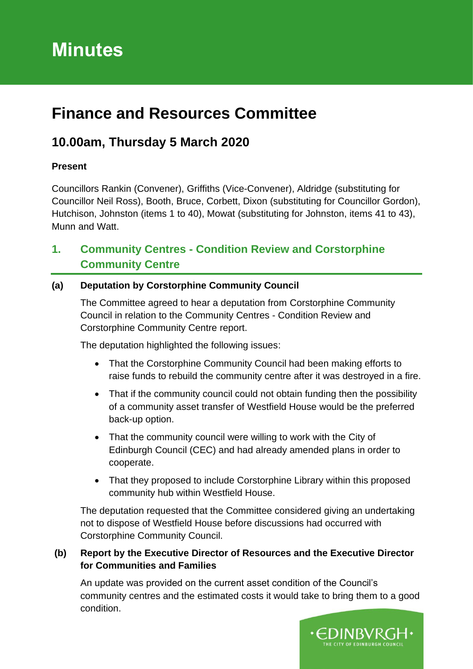# **Minutes**

# **Finance and Resources Committee**

# **10.00am, Thursday 5 March 2020**

## **Present**

Councillors Rankin (Convener), Griffiths (Vice-Convener), Aldridge (substituting for Councillor Neil Ross), Booth, Bruce, Corbett, Dixon (substituting for Councillor Gordon), Hutchison, Johnston (items 1 to 40), Mowat (substituting for Johnston, items 41 to 43), Munn and Watt.

# **1. Community Centres - Condition Review and Corstorphine Community Centre**

# **(a) Deputation by Corstorphine Community Council**

The Committee agreed to hear a deputation from Corstorphine Community Council in relation to the Community Centres - Condition Review and Corstorphine Community Centre report.

The deputation highlighted the following issues:

- That the Corstorphine Community Council had been making efforts to raise funds to rebuild the community centre after it was destroyed in a fire.
- That if the community council could not obtain funding then the possibility of a community asset transfer of Westfield House would be the preferred back-up option.
- That the community council were willing to work with the City of Edinburgh Council (CEC) and had already amended plans in order to cooperate.
- That they proposed to include Corstorphine Library within this proposed community hub within Westfield House.

The deputation requested that the Committee considered giving an undertaking not to dispose of Westfield House before discussions had occurred with Corstorphine Community Council.

### **(b) Report by the Executive Director of Resources and the Executive Director for Communities and Families**

An update was provided on the current asset condition of the Council's community centres and the estimated costs it would take to bring them to a good condition.

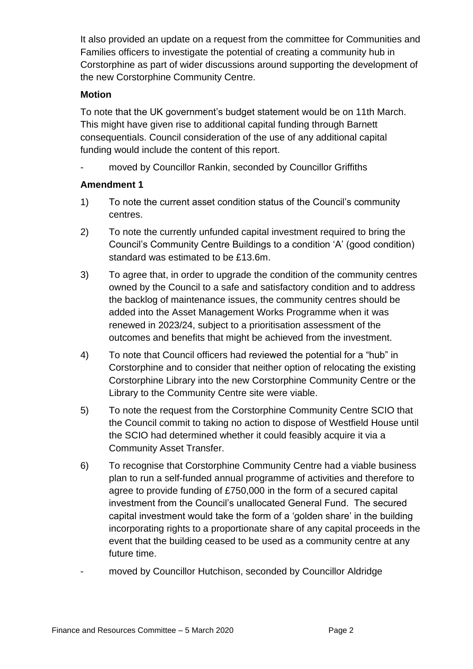It also provided an update on a request from the committee for Communities and Families officers to investigate the potential of creating a community hub in Corstorphine as part of wider discussions around supporting the development of the new Corstorphine Community Centre.

### **Motion**

To note that the UK government's budget statement would be on 11th March. This might have given rise to additional capital funding through Barnett consequentials. Council consideration of the use of any additional capital funding would include the content of this report.

moved by Councillor Rankin, seconded by Councillor Griffiths

### **Amendment 1**

- 1) To note the current asset condition status of the Council's community centres.
- 2) To note the currently unfunded capital investment required to bring the Council's Community Centre Buildings to a condition 'A' (good condition) standard was estimated to be £13.6m.
- 3) To agree that, in order to upgrade the condition of the community centres owned by the Council to a safe and satisfactory condition and to address the backlog of maintenance issues, the community centres should be added into the Asset Management Works Programme when it was renewed in 2023/24, subject to a prioritisation assessment of the outcomes and benefits that might be achieved from the investment.
- 4) To note that Council officers had reviewed the potential for a "hub" in Corstorphine and to consider that neither option of relocating the existing Corstorphine Library into the new Corstorphine Community Centre or the Library to the Community Centre site were viable.
- 5) To note the request from the Corstorphine Community Centre SCIO that the Council commit to taking no action to dispose of Westfield House until the SCIO had determined whether it could feasibly acquire it via a Community Asset Transfer.
- 6) To recognise that Corstorphine Community Centre had a viable business plan to run a self-funded annual programme of activities and therefore to agree to provide funding of £750,000 in the form of a secured capital investment from the Council's unallocated General Fund. The secured capital investment would take the form of a 'golden share' in the building incorporating rights to a proportionate share of any capital proceeds in the event that the building ceased to be used as a community centre at any future time.
- moved by Councillor Hutchison, seconded by Councillor Aldridge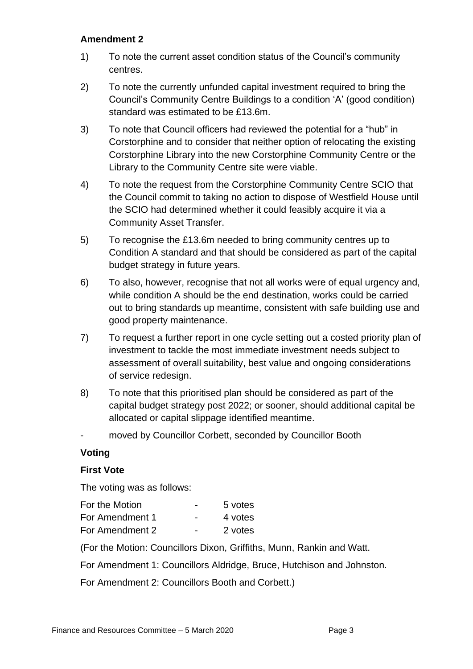#### **Amendment 2**

- 1) To note the current asset condition status of the Council's community centres.
- 2) To note the currently unfunded capital investment required to bring the Council's Community Centre Buildings to a condition 'A' (good condition) standard was estimated to be £13.6m.
- 3) To note that Council officers had reviewed the potential for a "hub" in Corstorphine and to consider that neither option of relocating the existing Corstorphine Library into the new Corstorphine Community Centre or the Library to the Community Centre site were viable.
- 4) To note the request from the Corstorphine Community Centre SCIO that the Council commit to taking no action to dispose of Westfield House until the SCIO had determined whether it could feasibly acquire it via a Community Asset Transfer.
- 5) To recognise the £13.6m needed to bring community centres up to Condition A standard and that should be considered as part of the capital budget strategy in future years.
- 6) To also, however, recognise that not all works were of equal urgency and, while condition A should be the end destination, works could be carried out to bring standards up meantime, consistent with safe building use and good property maintenance.
- 7) To request a further report in one cycle setting out a costed priority plan of investment to tackle the most immediate investment needs subject to assessment of overall suitability, best value and ongoing considerations of service redesign.
- 8) To note that this prioritised plan should be considered as part of the capital budget strategy post 2022; or sooner, should additional capital be allocated or capital slippage identified meantime.
- moved by Councillor Corbett, seconded by Councillor Booth

#### **Voting**

#### **First Vote**

The voting was as follows:

| For the Motion  | -                        | 5 votes |
|-----------------|--------------------------|---------|
| For Amendment 1 | $\blacksquare$           | 4 votes |
| For Amendment 2 | $\overline{\phantom{0}}$ | 2 votes |

(For the Motion: Councillors Dixon, Griffiths, Munn, Rankin and Watt.

For Amendment 1: Councillors Aldridge, Bruce, Hutchison and Johnston.

For Amendment 2: Councillors Booth and Corbett.)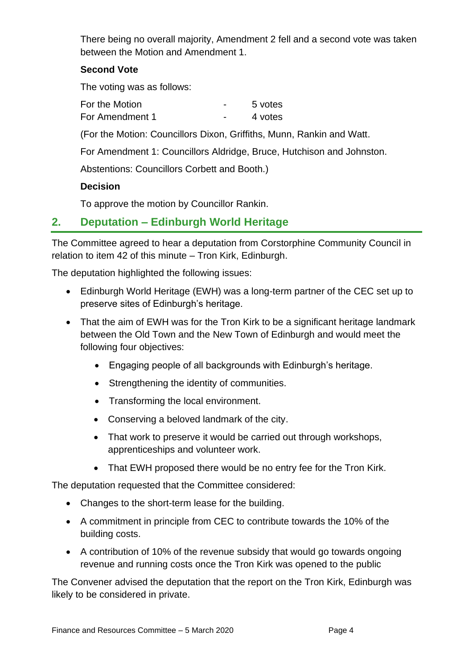There being no overall majority, Amendment 2 fell and a second vote was taken between the Motion and Amendment 1.

### **Second Vote**

The voting was as follows:

For the Motion Theorem **France For the Motion** For Amendment 1 and 1 and 1 and 1 and 1 and 1 yotes

(For the Motion: Councillors Dixon, Griffiths, Munn, Rankin and Watt.

For Amendment 1: Councillors Aldridge, Bruce, Hutchison and Johnston.

Abstentions: Councillors Corbett and Booth.)

### **Decision**

To approve the motion by Councillor Rankin.

# **2. Deputation – Edinburgh World Heritage**

The Committee agreed to hear a deputation from Corstorphine Community Council in relation to item 42 of this minute – Tron Kirk, Edinburgh.

The deputation highlighted the following issues:

- Edinburgh World Heritage (EWH) was a long-term partner of the CEC set up to preserve sites of Edinburgh's heritage.
- That the aim of EWH was for the Tron Kirk to be a significant heritage landmark between the Old Town and the New Town of Edinburgh and would meet the following four objectives:
	- Engaging people of all backgrounds with Edinburgh's heritage.
	- Strengthening the identity of communities.
	- Transforming the local environment.
	- Conserving a beloved landmark of the city.
	- That work to preserve it would be carried out through workshops, apprenticeships and volunteer work.
	- That EWH proposed there would be no entry fee for the Tron Kirk.

The deputation requested that the Committee considered:

- Changes to the short-term lease for the building.
- A commitment in principle from CEC to contribute towards the 10% of the building costs.
- A contribution of 10% of the revenue subsidy that would go towards ongoing revenue and running costs once the Tron Kirk was opened to the public

The Convener advised the deputation that the report on the Tron Kirk, Edinburgh was likely to be considered in private.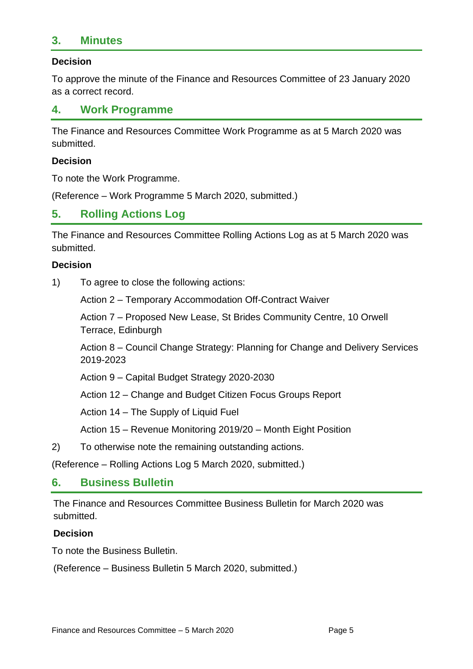# **3. Minutes**

#### **Decision**

To approve the minute of the Finance and Resources Committee of 23 January 2020 as a correct record.

### **4. Work Programme**

The Finance and Resources Committee Work Programme as at 5 March 2020 was submitted.

#### **Decision**

To note the Work Programme.

(Reference – Work Programme 5 March 2020, submitted.)

### **5. Rolling Actions Log**

The Finance and Resources Committee Rolling Actions Log as at 5 March 2020 was submitted.

#### **Decision**

1) To agree to close the following actions:

Action 2 – Temporary Accommodation Off-Contract Waiver

Action 7 – Proposed New Lease, St Brides Community Centre, 10 Orwell Terrace, Edinburgh

Action 8 – Council Change Strategy: Planning for Change and Delivery Services 2019-2023

Action 9 – Capital Budget Strategy 2020-2030

Action 12 – Change and Budget Citizen Focus Groups Report

Action 14 – The Supply of Liquid Fuel

Action 15 – Revenue Monitoring 2019/20 – Month Eight Position

2) To otherwise note the remaining outstanding actions.

(Reference – Rolling Actions Log 5 March 2020, submitted.)

### **6. Business Bulletin**

The Finance and Resources Committee Business Bulletin for March 2020 was submitted.

#### **Decision**

To note the Business Bulletin.

(Reference – Business Bulletin 5 March 2020, submitted.)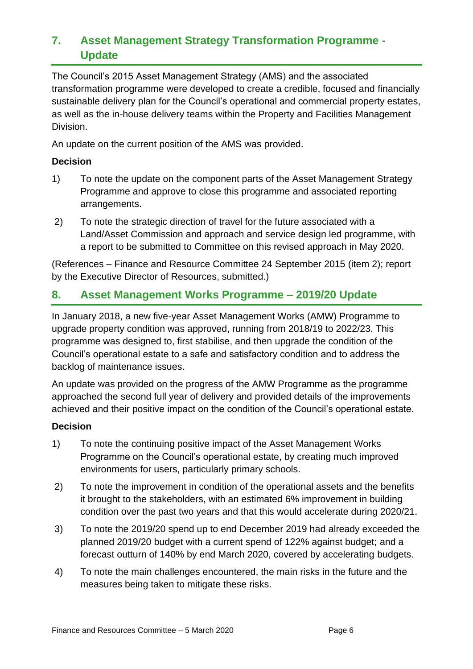# **7. Asset Management Strategy Transformation Programme - Update**

The Council's 2015 Asset Management Strategy (AMS) and the associated transformation programme were developed to create a credible, focused and financially sustainable delivery plan for the Council's operational and commercial property estates, as well as the in-house delivery teams within the Property and Facilities Management Division.

An update on the current position of the AMS was provided.

### **Decision**

- 1) To note the update on the component parts of the Asset Management Strategy Programme and approve to close this programme and associated reporting arrangements.
- 2) To note the strategic direction of travel for the future associated with a Land/Asset Commission and approach and service design led programme, with a report to be submitted to Committee on this revised approach in May 2020.

(References – Finance and Resource Committee 24 September 2015 (item 2); report by the Executive Director of Resources, submitted.)

# **8. Asset Management Works Programme – 2019/20 Update**

In January 2018, a new five-year Asset Management Works (AMW) Programme to upgrade property condition was approved, running from 2018/19 to 2022/23. This programme was designed to, first stabilise, and then upgrade the condition of the Council's operational estate to a safe and satisfactory condition and to address the backlog of maintenance issues.

An update was provided on the progress of the AMW Programme as the programme approached the second full year of delivery and provided details of the improvements achieved and their positive impact on the condition of the Council's operational estate.

### **Decision**

- 1) To note the continuing positive impact of the Asset Management Works Programme on the Council's operational estate, by creating much improved environments for users, particularly primary schools.
- 2) To note the improvement in condition of the operational assets and the benefits it brought to the stakeholders, with an estimated 6% improvement in building condition over the past two years and that this would accelerate during 2020/21.
- 3) To note the 2019/20 spend up to end December 2019 had already exceeded the planned 2019/20 budget with a current spend of 122% against budget; and a forecast outturn of 140% by end March 2020, covered by accelerating budgets.
- 4) To note the main challenges encountered, the main risks in the future and the measures being taken to mitigate these risks.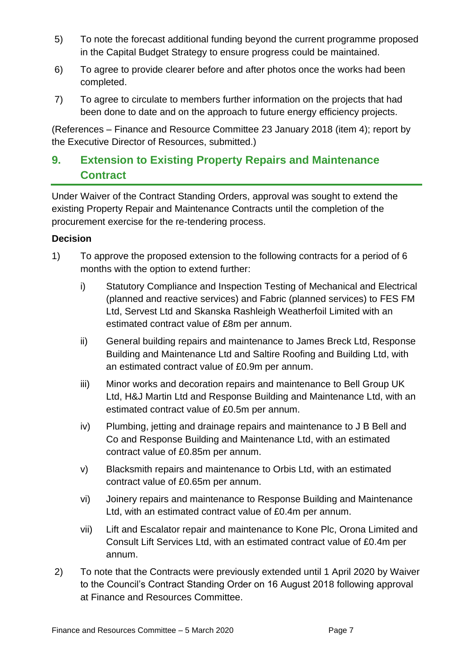- 5) To note the forecast additional funding beyond the current programme proposed in the Capital Budget Strategy to ensure progress could be maintained.
- 6) To agree to provide clearer before and after photos once the works had been completed.
- 7) To agree to circulate to members further information on the projects that had been done to date and on the approach to future energy efficiency projects.

(References – Finance and Resource Committee 23 January 2018 (item 4); report by the Executive Director of Resources, submitted.)

# **9. Extension to Existing Property Repairs and Maintenance Contract**

Under Waiver of the Contract Standing Orders, approval was sought to extend the existing Property Repair and Maintenance Contracts until the completion of the procurement exercise for the re-tendering process.

### **Decision**

- 1) To approve the proposed extension to the following contracts for a period of 6 months with the option to extend further:
	- i) Statutory Compliance and Inspection Testing of Mechanical and Electrical (planned and reactive services) and Fabric (planned services) to FES FM Ltd, Servest Ltd and Skanska Rashleigh Weatherfoil Limited with an estimated contract value of £8m per annum.
	- ii) General building repairs and maintenance to James Breck Ltd, Response Building and Maintenance Ltd and Saltire Roofing and Building Ltd, with an estimated contract value of £0.9m per annum.
	- iii) Minor works and decoration repairs and maintenance to Bell Group UK Ltd, H&J Martin Ltd and Response Building and Maintenance Ltd, with an estimated contract value of £0.5m per annum.
	- iv) Plumbing, jetting and drainage repairs and maintenance to J B Bell and Co and Response Building and Maintenance Ltd, with an estimated contract value of £0.85m per annum.
	- v) Blacksmith repairs and maintenance to Orbis Ltd, with an estimated contract value of £0.65m per annum.
	- vi) Joinery repairs and maintenance to Response Building and Maintenance Ltd, with an estimated contract value of £0.4m per annum.
	- vii) Lift and Escalator repair and maintenance to Kone Plc, Orona Limited and Consult Lift Services Ltd, with an estimated contract value of £0.4m per annum.
- 2) To note that the Contracts were previously extended until 1 April 2020 by Waiver to the Council's Contract Standing Order on 16 August 2018 following approval at Finance and Resources Committee.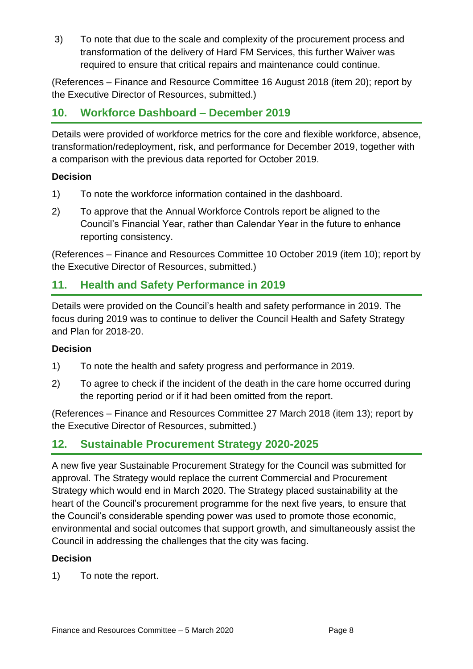3) To note that due to the scale and complexity of the procurement process and transformation of the delivery of Hard FM Services, this further Waiver was required to ensure that critical repairs and maintenance could continue.

(References – Finance and Resource Committee 16 August 2018 (item 20); report by the Executive Director of Resources, submitted.)

# **10. Workforce Dashboard – December 2019**

Details were provided of workforce metrics for the core and flexible workforce, absence, transformation/redeployment, risk, and performance for December 2019, together with a comparison with the previous data reported for October 2019.

### **Decision**

- 1) To note the workforce information contained in the dashboard.
- 2) To approve that the Annual Workforce Controls report be aligned to the Council's Financial Year, rather than Calendar Year in the future to enhance reporting consistency.

(References – Finance and Resources Committee 10 October 2019 (item 10); report by the Executive Director of Resources, submitted.)

# **11. Health and Safety Performance in 2019**

Details were provided on the Council's health and safety performance in 2019. The focus during 2019 was to continue to deliver the Council Health and Safety Strategy and Plan for 2018-20.

### **Decision**

- 1) To note the health and safety progress and performance in 2019.
- 2) To agree to check if the incident of the death in the care home occurred during the reporting period or if it had been omitted from the report.

(References – Finance and Resources Committee 27 March 2018 (item 13); report by the Executive Director of Resources, submitted.)

# **12. Sustainable Procurement Strategy 2020-2025**

A new five year Sustainable Procurement Strategy for the Council was submitted for approval. The Strategy would replace the current Commercial and Procurement Strategy which would end in March 2020. The Strategy placed sustainability at the heart of the Council's procurement programme for the next five years, to ensure that the Council's considerable spending power was used to promote those economic, environmental and social outcomes that support growth, and simultaneously assist the Council in addressing the challenges that the city was facing.

### **Decision**

1) To note the report.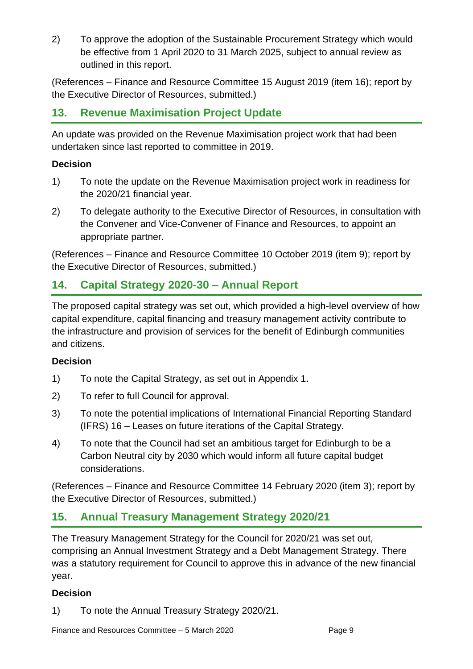2) To approve the adoption of the Sustainable Procurement Strategy which would be effective from 1 April 2020 to 31 March 2025, subject to annual review as outlined in this report.

(References – Finance and Resource Committee 15 August 2019 (item 16); report by the Executive Director of Resources, submitted.)

# **13. Revenue Maximisation Project Update**

An update was provided on the Revenue Maximisation project work that had been undertaken since last reported to committee in 2019.

## **Decision**

- 1) To note the update on the Revenue Maximisation project work in readiness for the 2020/21 financial year.
- 2) To delegate authority to the Executive Director of Resources, in consultation with the Convener and Vice-Convener of Finance and Resources, to appoint an appropriate partner.

(References – Finance and Resource Committee 10 October 2019 (item 9); report by the Executive Director of Resources, submitted.)

# **14. Capital Strategy 2020-30 – Annual Report**

The proposed capital strategy was set out, which provided a high-level overview of how capital expenditure, capital financing and treasury management activity contribute to the infrastructure and provision of services for the benefit of Edinburgh communities and citizens.

# **Decision**

- 1) To note the Capital Strategy, as set out in Appendix 1.
- 2) To refer to full Council for approval.
- 3) To note the potential implications of International Financial Reporting Standard (IFRS) 16 – Leases on future iterations of the Capital Strategy.
- 4) To note that the Council had set an ambitious target for Edinburgh to be a Carbon Neutral city by 2030 which would inform all future capital budget considerations.

(References – Finance and Resource Committee 14 February 2020 (item 3); report by the Executive Director of Resources, submitted.)

# **15. Annual Treasury Management Strategy 2020/21**

The Treasury Management Strategy for the Council for 2020/21 was set out, comprising an Annual Investment Strategy and a Debt Management Strategy. There was a statutory requirement for Council to approve this in advance of the new financial year.

# **Decision**

1) To note the Annual Treasury Strategy 2020/21.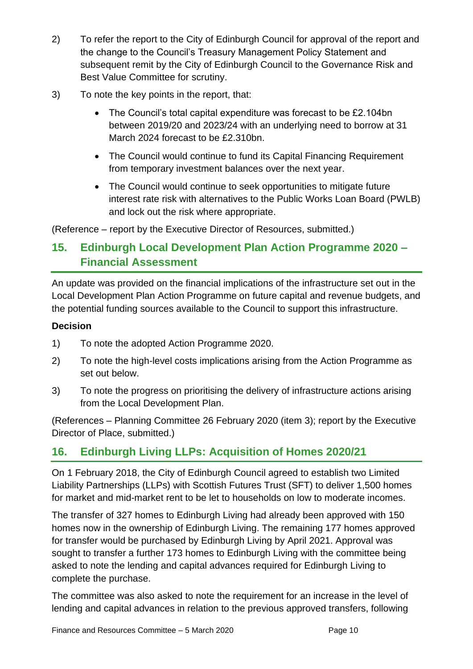- 2) To refer the report to the City of Edinburgh Council for approval of the report and the change to the Council's Treasury Management Policy Statement and subsequent remit by the City of Edinburgh Council to the Governance Risk and Best Value Committee for scrutiny.
- 3) To note the key points in the report, that:
	- The Council's total capital expenditure was forecast to be £2.104bn between 2019/20 and 2023/24 with an underlying need to borrow at 31 March 2024 forecast to be £2.310bn.
	- The Council would continue to fund its Capital Financing Requirement from temporary investment balances over the next year.
	- The Council would continue to seek opportunities to mitigate future interest rate risk with alternatives to the Public Works Loan Board (PWLB) and lock out the risk where appropriate.

(Reference – report by the Executive Director of Resources, submitted.)

# **15. Edinburgh Local Development Plan Action Programme 2020 – Financial Assessment**

An update was provided on the financial implications of the infrastructure set out in the Local Development Plan Action Programme on future capital and revenue budgets, and the potential funding sources available to the Council to support this infrastructure.

# **Decision**

- 1) To note the adopted Action Programme 2020.
- 2) To note the high-level costs implications arising from the Action Programme as set out below.
- 3) To note the progress on prioritising the delivery of infrastructure actions arising from the Local Development Plan.

(References – Planning Committee 26 February 2020 (item 3); report by the Executive Director of Place, submitted.)

# **16. Edinburgh Living LLPs: Acquisition of Homes 2020/21**

On 1 February 2018, the City of Edinburgh Council agreed to establish two Limited Liability Partnerships (LLPs) with Scottish Futures Trust (SFT) to deliver 1,500 homes for market and mid-market rent to be let to households on low to moderate incomes.

The transfer of 327 homes to Edinburgh Living had already been approved with 150 homes now in the ownership of Edinburgh Living. The remaining 177 homes approved for transfer would be purchased by Edinburgh Living by April 2021. Approval was sought to transfer a further 173 homes to Edinburgh Living with the committee being asked to note the lending and capital advances required for Edinburgh Living to complete the purchase.

The committee was also asked to note the requirement for an increase in the level of lending and capital advances in relation to the previous approved transfers, following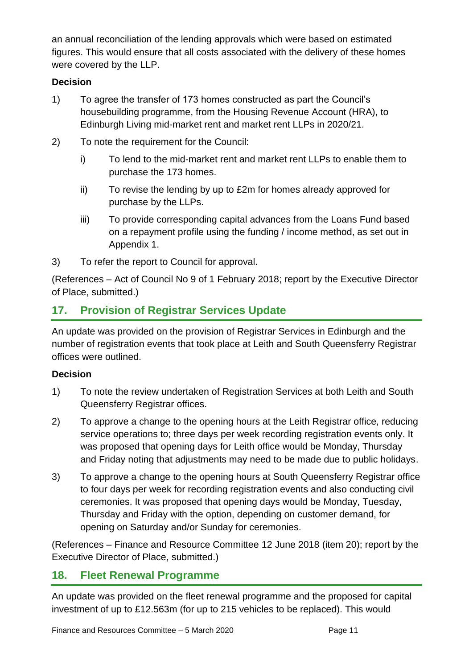an annual reconciliation of the lending approvals which were based on estimated figures. This would ensure that all costs associated with the delivery of these homes were covered by the LLP.

## **Decision**

- 1) To agree the transfer of 173 homes constructed as part the Council's housebuilding programme, from the Housing Revenue Account (HRA), to Edinburgh Living mid-market rent and market rent LLPs in 2020/21.
- 2) To note the requirement for the Council:
	- i) To lend to the mid-market rent and market rent LLPs to enable them to purchase the 173 homes.
	- ii) To revise the lending by up to £2m for homes already approved for purchase by the LLPs.
	- iii) To provide corresponding capital advances from the Loans Fund based on a repayment profile using the funding / income method, as set out in Appendix 1.
- 3) To refer the report to Council for approval.

(References – Act of Council No 9 of 1 February 2018; report by the Executive Director of Place, submitted.)

# **17. Provision of Registrar Services Update**

An update was provided on the provision of Registrar Services in Edinburgh and the number of registration events that took place at Leith and South Queensferry Registrar offices were outlined.

# **Decision**

- 1) To note the review undertaken of Registration Services at both Leith and South Queensferry Registrar offices.
- 2) To approve a change to the opening hours at the Leith Registrar office, reducing service operations to; three days per week recording registration events only. It was proposed that opening days for Leith office would be Monday, Thursday and Friday noting that adjustments may need to be made due to public holidays.
- 3) To approve a change to the opening hours at South Queensferry Registrar office to four days per week for recording registration events and also conducting civil ceremonies. It was proposed that opening days would be Monday, Tuesday, Thursday and Friday with the option, depending on customer demand, for opening on Saturday and/or Sunday for ceremonies.

(References – Finance and Resource Committee 12 June 2018 (item 20); report by the Executive Director of Place, submitted.)

# **18. Fleet Renewal Programme**

An update was provided on the fleet renewal programme and the proposed for capital investment of up to £12.563m (for up to 215 vehicles to be replaced). This would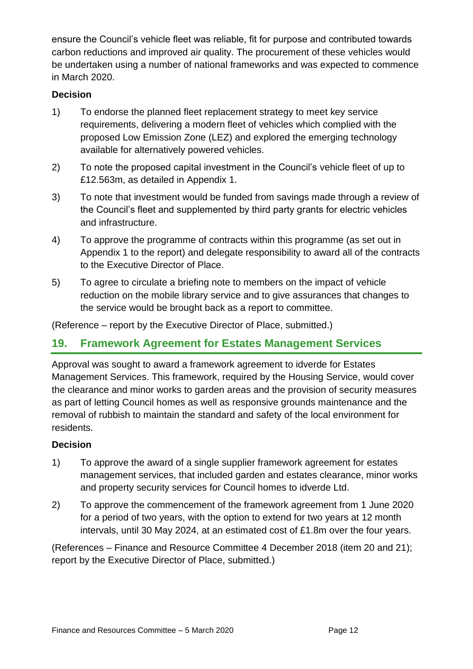ensure the Council's vehicle fleet was reliable, fit for purpose and contributed towards carbon reductions and improved air quality. The procurement of these vehicles would be undertaken using a number of national frameworks and was expected to commence in March 2020.

### **Decision**

- 1) To endorse the planned fleet replacement strategy to meet key service requirements, delivering a modern fleet of vehicles which complied with the proposed Low Emission Zone (LEZ) and explored the emerging technology available for alternatively powered vehicles.
- 2) To note the proposed capital investment in the Council's vehicle fleet of up to £12.563m, as detailed in Appendix 1.
- 3) To note that investment would be funded from savings made through a review of the Council's fleet and supplemented by third party grants for electric vehicles and infrastructure.
- 4) To approve the programme of contracts within this programme (as set out in Appendix 1 to the report) and delegate responsibility to award all of the contracts to the Executive Director of Place.
- 5) To agree to circulate a briefing note to members on the impact of vehicle reduction on the mobile library service and to give assurances that changes to the service would be brought back as a report to committee.

(Reference – report by the Executive Director of Place, submitted.)

# **19. Framework Agreement for Estates Management Services**

Approval was sought to award a framework agreement to idverde for Estates Management Services. This framework, required by the Housing Service, would cover the clearance and minor works to garden areas and the provision of security measures as part of letting Council homes as well as responsive grounds maintenance and the removal of rubbish to maintain the standard and safety of the local environment for residents.

### **Decision**

- 1) To approve the award of a single supplier framework agreement for estates management services, that included garden and estates clearance, minor works and property security services for Council homes to idverde Ltd.
- 2) To approve the commencement of the framework agreement from 1 June 2020 for a period of two years, with the option to extend for two years at 12 month intervals, until 30 May 2024, at an estimated cost of £1.8m over the four years.

(References – Finance and Resource Committee 4 December 2018 (item 20 and 21); report by the Executive Director of Place, submitted.)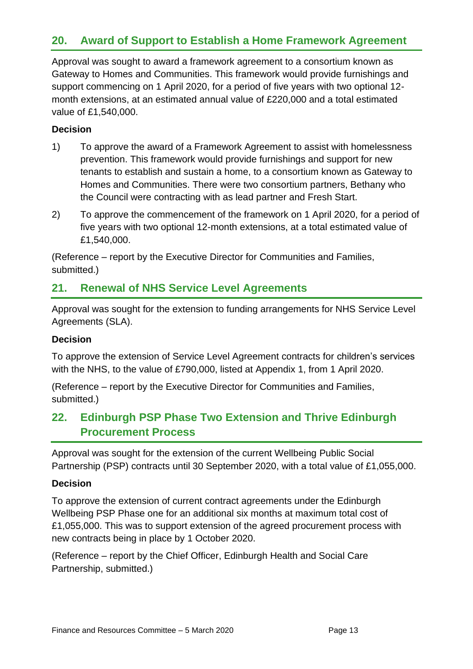# **20. Award of Support to Establish a Home Framework Agreement**

Approval was sought to award a framework agreement to a consortium known as Gateway to Homes and Communities. This framework would provide furnishings and support commencing on 1 April 2020, for a period of five years with two optional 12 month extensions, at an estimated annual value of £220,000 and a total estimated value of £1,540,000.

### **Decision**

- 1) To approve the award of a Framework Agreement to assist with homelessness prevention. This framework would provide furnishings and support for new tenants to establish and sustain a home, to a consortium known as Gateway to Homes and Communities. There were two consortium partners, Bethany who the Council were contracting with as lead partner and Fresh Start.
- 2) To approve the commencement of the framework on 1 April 2020, for a period of five years with two optional 12-month extensions, at a total estimated value of £1,540,000.

(Reference – report by the Executive Director for Communities and Families, submitted.)

# **21. Renewal of NHS Service Level Agreements**

Approval was sought for the extension to funding arrangements for NHS Service Level Agreements (SLA).

### **Decision**

To approve the extension of Service Level Agreement contracts for children's services with the NHS, to the value of £790,000, listed at Appendix 1, from 1 April 2020.

(Reference – report by the Executive Director for Communities and Families, submitted.)

# **22. Edinburgh PSP Phase Two Extension and Thrive Edinburgh Procurement Process**

Approval was sought for the extension of the current Wellbeing Public Social Partnership (PSP) contracts until 30 September 2020, with a total value of £1,055,000.

### **Decision**

To approve the extension of current contract agreements under the Edinburgh Wellbeing PSP Phase one for an additional six months at maximum total cost of £1,055,000. This was to support extension of the agreed procurement process with new contracts being in place by 1 October 2020.

(Reference – report by the Chief Officer, Edinburgh Health and Social Care Partnership, submitted.)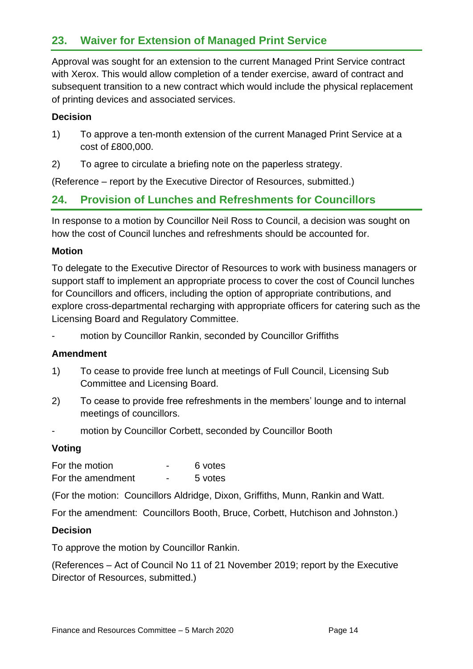# **23. Waiver for Extension of Managed Print Service**

Approval was sought for an extension to the current Managed Print Service contract with Xerox. This would allow completion of a tender exercise, award of contract and subsequent transition to a new contract which would include the physical replacement of printing devices and associated services.

#### **Decision**

- 1) To approve a ten-month extension of the current Managed Print Service at a cost of £800,000.
- 2) To agree to circulate a briefing note on the paperless strategy.

(Reference – report by the Executive Director of Resources, submitted.)

# **24. Provision of Lunches and Refreshments for Councillors**

In response to a motion by Councillor Neil Ross to Council, a decision was sought on how the cost of Council lunches and refreshments should be accounted for.

#### **Motion**

To delegate to the Executive Director of Resources to work with business managers or support staff to implement an appropriate process to cover the cost of Council lunches for Councillors and officers, including the option of appropriate contributions, and explore cross-departmental recharging with appropriate officers for catering such as the Licensing Board and Regulatory Committee.

motion by Councillor Rankin, seconded by Councillor Griffiths

#### **Amendment**

- 1) To cease to provide free lunch at meetings of Full Council, Licensing Sub Committee and Licensing Board.
- 2) To cease to provide free refreshments in the members' lounge and to internal meetings of councillors.
- motion by Councillor Corbett, seconded by Councillor Booth

### **Voting**

For the motion **For the motion For the motion** For the amendment - 5 votes

(For the motion: Councillors Aldridge, Dixon, Griffiths, Munn, Rankin and Watt.

For the amendment: Councillors Booth, Bruce, Corbett, Hutchison and Johnston.)

#### **Decision**

To approve the motion by Councillor Rankin.

(References – Act of Council No 11 of 21 November 2019; report by the Executive Director of Resources, submitted.)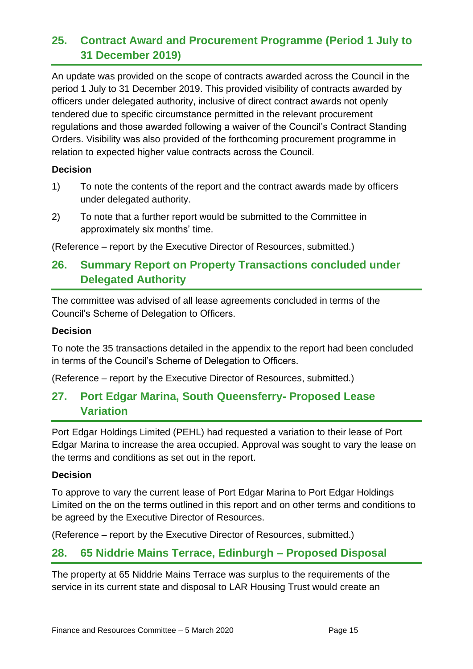# **25. Contract Award and Procurement Programme (Period 1 July to 31 December 2019)**

An update was provided on the scope of contracts awarded across the Council in the period 1 July to 31 December 2019. This provided visibility of contracts awarded by officers under delegated authority, inclusive of direct contract awards not openly tendered due to specific circumstance permitted in the relevant procurement regulations and those awarded following a waiver of the Council's Contract Standing Orders. Visibility was also provided of the forthcoming procurement programme in relation to expected higher value contracts across the Council.

#### **Decision**

- 1) To note the contents of the report and the contract awards made by officers under delegated authority.
- 2) To note that a further report would be submitted to the Committee in approximately six months' time.

(Reference – report by the Executive Director of Resources, submitted.)

# **26. Summary Report on Property Transactions concluded under Delegated Authority**

The committee was advised of all lease agreements concluded in terms of the Council's Scheme of Delegation to Officers.

### **Decision**

To note the 35 transactions detailed in the appendix to the report had been concluded in terms of the Council's Scheme of Delegation to Officers.

(Reference – report by the Executive Director of Resources, submitted.)

# **27. Port Edgar Marina, South Queensferry- Proposed Lease Variation**

Port Edgar Holdings Limited (PEHL) had requested a variation to their lease of Port Edgar Marina to increase the area occupied. Approval was sought to vary the lease on the terms and conditions as set out in the report.

#### **Decision**

To approve to vary the current lease of Port Edgar Marina to Port Edgar Holdings Limited on the on the terms outlined in this report and on other terms and conditions to be agreed by the Executive Director of Resources.

(Reference – report by the Executive Director of Resources, submitted.)

# **28. 65 Niddrie Mains Terrace, Edinburgh – Proposed Disposal**

The property at 65 Niddrie Mains Terrace was surplus to the requirements of the service in its current state and disposal to LAR Housing Trust would create an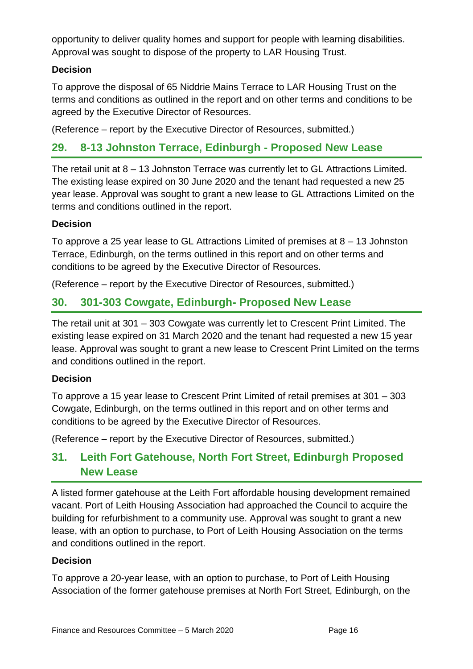opportunity to deliver quality homes and support for people with learning disabilities. Approval was sought to dispose of the property to LAR Housing Trust.

### **Decision**

To approve the disposal of 65 Niddrie Mains Terrace to LAR Housing Trust on the terms and conditions as outlined in the report and on other terms and conditions to be agreed by the Executive Director of Resources.

(Reference – report by the Executive Director of Resources, submitted.)

# **29. 8-13 Johnston Terrace, Edinburgh - Proposed New Lease**

The retail unit at 8 – 13 Johnston Terrace was currently let to GL Attractions Limited. The existing lease expired on 30 June 2020 and the tenant had requested a new 25 year lease. Approval was sought to grant a new lease to GL Attractions Limited on the terms and conditions outlined in the report.

### **Decision**

To approve a 25 year lease to GL Attractions Limited of premises at 8 – 13 Johnston Terrace, Edinburgh, on the terms outlined in this report and on other terms and conditions to be agreed by the Executive Director of Resources.

(Reference – report by the Executive Director of Resources, submitted.)

# **30. 301-303 Cowgate, Edinburgh- Proposed New Lease**

The retail unit at 301 – 303 Cowgate was currently let to Crescent Print Limited. The existing lease expired on 31 March 2020 and the tenant had requested a new 15 year lease. Approval was sought to grant a new lease to Crescent Print Limited on the terms and conditions outlined in the report.

### **Decision**

To approve a 15 year lease to Crescent Print Limited of retail premises at 301 – 303 Cowgate, Edinburgh, on the terms outlined in this report and on other terms and conditions to be agreed by the Executive Director of Resources.

(Reference – report by the Executive Director of Resources, submitted.)

# **31. Leith Fort Gatehouse, North Fort Street, Edinburgh Proposed New Lease**

A listed former gatehouse at the Leith Fort affordable housing development remained vacant. Port of Leith Housing Association had approached the Council to acquire the building for refurbishment to a community use. Approval was sought to grant a new lease, with an option to purchase, to Port of Leith Housing Association on the terms and conditions outlined in the report.

### **Decision**

To approve a 20-year lease, with an option to purchase, to Port of Leith Housing Association of the former gatehouse premises at North Fort Street, Edinburgh, on the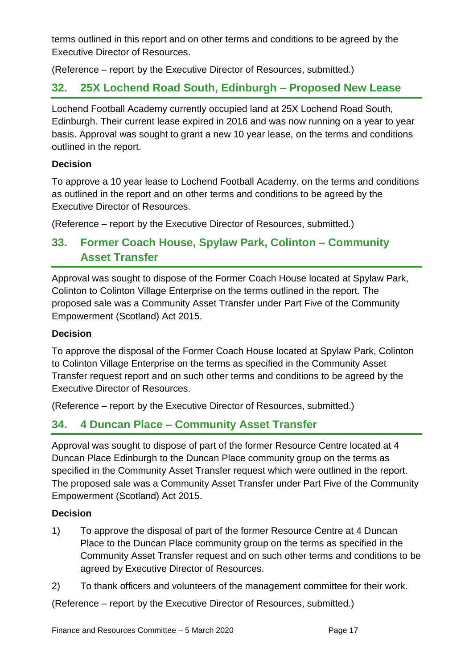terms outlined in this report and on other terms and conditions to be agreed by the Executive Director of Resources.

(Reference – report by the Executive Director of Resources, submitted.)

# **32. 25X Lochend Road South, Edinburgh – Proposed New Lease**

Lochend Football Academy currently occupied land at 25X Lochend Road South, Edinburgh. Their current lease expired in 2016 and was now running on a year to year basis. Approval was sought to grant a new 10 year lease, on the terms and conditions outlined in the report.

### **Decision**

To approve a 10 year lease to Lochend Football Academy, on the terms and conditions as outlined in the report and on other terms and conditions to be agreed by the Executive Director of Resources.

(Reference – report by the Executive Director of Resources, submitted.)

# **33. Former Coach House, Spylaw Park, Colinton – Community Asset Transfer**

Approval was sought to dispose of the Former Coach House located at Spylaw Park, Colinton to Colinton Village Enterprise on the terms outlined in the report. The proposed sale was a Community Asset Transfer under Part Five of the Community Empowerment (Scotland) Act 2015.

### **Decision**

To approve the disposal of the Former Coach House located at Spylaw Park, Colinton to Colinton Village Enterprise on the terms as specified in the Community Asset Transfer request report and on such other terms and conditions to be agreed by the Executive Director of Resources.

(Reference – report by the Executive Director of Resources, submitted.)

# **34. 4 Duncan Place – Community Asset Transfer**

Approval was sought to dispose of part of the former Resource Centre located at 4 Duncan Place Edinburgh to the Duncan Place community group on the terms as specified in the Community Asset Transfer request which were outlined in the report. The proposed sale was a Community Asset Transfer under Part Five of the Community Empowerment (Scotland) Act 2015.

### **Decision**

- 1) To approve the disposal of part of the former Resource Centre at 4 Duncan Place to the Duncan Place community group on the terms as specified in the Community Asset Transfer request and on such other terms and conditions to be agreed by Executive Director of Resources.
- 2) To thank officers and volunteers of the management committee for their work.

(Reference – report by the Executive Director of Resources, submitted.)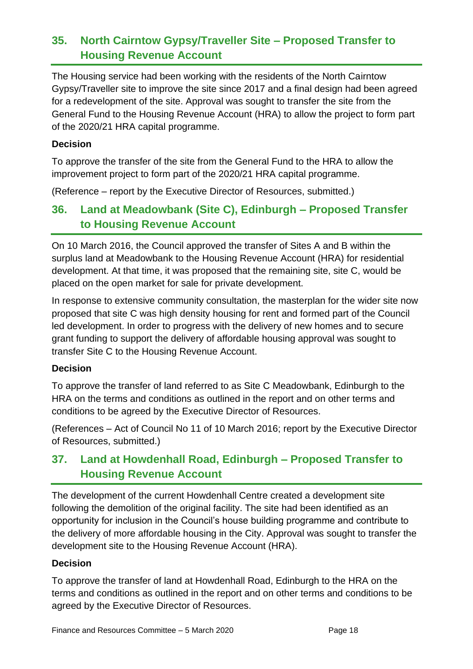# **35. North Cairntow Gypsy/Traveller Site – Proposed Transfer to Housing Revenue Account**

The Housing service had been working with the residents of the North Cairntow Gypsy/Traveller site to improve the site since 2017 and a final design had been agreed for a redevelopment of the site. Approval was sought to transfer the site from the General Fund to the Housing Revenue Account (HRA) to allow the project to form part of the 2020/21 HRA capital programme.

#### **Decision**

To approve the transfer of the site from the General Fund to the HRA to allow the improvement project to form part of the 2020/21 HRA capital programme.

(Reference – report by the Executive Director of Resources, submitted.)

# **36. Land at Meadowbank (Site C), Edinburgh – Proposed Transfer to Housing Revenue Account**

On 10 March 2016, the Council approved the transfer of Sites A and B within the surplus land at Meadowbank to the Housing Revenue Account (HRA) for residential development. At that time, it was proposed that the remaining site, site C, would be placed on the open market for sale for private development.

In response to extensive community consultation, the masterplan for the wider site now proposed that site C was high density housing for rent and formed part of the Council led development. In order to progress with the delivery of new homes and to secure grant funding to support the delivery of affordable housing approval was sought to transfer Site C to the Housing Revenue Account.

### **Decision**

To approve the transfer of land referred to as Site C Meadowbank, Edinburgh to the HRA on the terms and conditions as outlined in the report and on other terms and conditions to be agreed by the Executive Director of Resources.

(References – Act of Council No 11 of 10 March 2016; report by the Executive Director of Resources, submitted.)

# **37. Land at Howdenhall Road, Edinburgh – Proposed Transfer to Housing Revenue Account**

The development of the current Howdenhall Centre created a development site following the demolition of the original facility. The site had been identified as an opportunity for inclusion in the Council's house building programme and contribute to the delivery of more affordable housing in the City. Approval was sought to transfer the development site to the Housing Revenue Account (HRA).

### **Decision**

To approve the transfer of land at Howdenhall Road, Edinburgh to the HRA on the terms and conditions as outlined in the report and on other terms and conditions to be agreed by the Executive Director of Resources.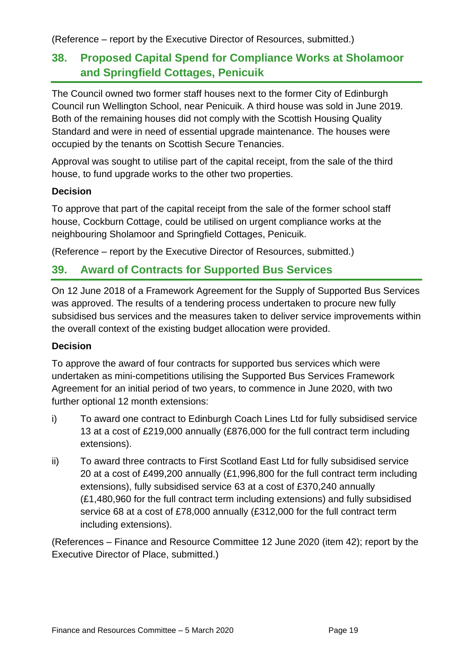(Reference – report by the Executive Director of Resources, submitted.)

# **38. Proposed Capital Spend for Compliance Works at Sholamoor and Springfield Cottages, Penicuik**

The Council owned two former staff houses next to the former City of Edinburgh Council run Wellington School, near Penicuik. A third house was sold in June 2019. Both of the remaining houses did not comply with the Scottish Housing Quality Standard and were in need of essential upgrade maintenance. The houses were occupied by the tenants on Scottish Secure Tenancies.

Approval was sought to utilise part of the capital receipt, from the sale of the third house, to fund upgrade works to the other two properties.

### **Decision**

To approve that part of the capital receipt from the sale of the former school staff house, Cockburn Cottage, could be utilised on urgent compliance works at the neighbouring Sholamoor and Springfield Cottages, Penicuik.

(Reference – report by the Executive Director of Resources, submitted.)

# **39. Award of Contracts for Supported Bus Services**

On 12 June 2018 of a Framework Agreement for the Supply of Supported Bus Services was approved. The results of a tendering process undertaken to procure new fully subsidised bus services and the measures taken to deliver service improvements within the overall context of the existing budget allocation were provided.

### **Decision**

To approve the award of four contracts for supported bus services which were undertaken as mini-competitions utilising the Supported Bus Services Framework Agreement for an initial period of two years, to commence in June 2020, with two further optional 12 month extensions:

- i) To award one contract to Edinburgh Coach Lines Ltd for fully subsidised service 13 at a cost of £219,000 annually (£876,000 for the full contract term including extensions).
- ii) To award three contracts to First Scotland East Ltd for fully subsidised service 20 at a cost of £499,200 annually (£1,996,800 for the full contract term including extensions), fully subsidised service 63 at a cost of £370,240 annually (£1,480,960 for the full contract term including extensions) and fully subsidised service 68 at a cost of £78,000 annually (£312,000 for the full contract term including extensions).

(References – Finance and Resource Committee 12 June 2020 (item 42); report by the Executive Director of Place, submitted.)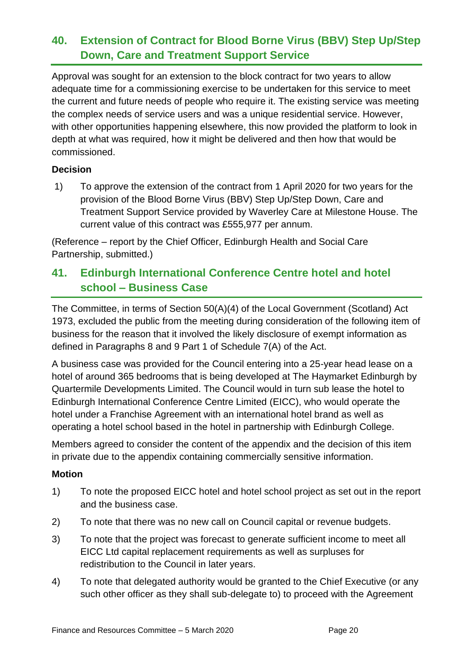# **40. Extension of Contract for Blood Borne Virus (BBV) Step Up/Step Down, Care and Treatment Support Service**

Approval was sought for an extension to the block contract for two years to allow adequate time for a commissioning exercise to be undertaken for this service to meet the current and future needs of people who require it. The existing service was meeting the complex needs of service users and was a unique residential service. However, with other opportunities happening elsewhere, this now provided the platform to look in depth at what was required, how it might be delivered and then how that would be commissioned.

### **Decision**

1) To approve the extension of the contract from 1 April 2020 for two years for the provision of the Blood Borne Virus (BBV) Step Up/Step Down, Care and Treatment Support Service provided by Waverley Care at Milestone House. The current value of this contract was £555,977 per annum.

(Reference – report by the Chief Officer, Edinburgh Health and Social Care Partnership, submitted.)

# **41. Edinburgh International Conference Centre hotel and hotel school – Business Case**

The Committee, in terms of Section 50(A)(4) of the Local Government (Scotland) Act 1973, excluded the public from the meeting during consideration of the following item of business for the reason that it involved the likely disclosure of exempt information as defined in Paragraphs 8 and 9 Part 1 of Schedule 7(A) of the Act.

A business case was provided for the Council entering into a 25-year head lease on a hotel of around 365 bedrooms that is being developed at The Haymarket Edinburgh by Quartermile Developments Limited. The Council would in turn sub lease the hotel to Edinburgh International Conference Centre Limited (EICC), who would operate the hotel under a Franchise Agreement with an international hotel brand as well as operating a hotel school based in the hotel in partnership with Edinburgh College.

Members agreed to consider the content of the appendix and the decision of this item in private due to the appendix containing commercially sensitive information.

#### **Motion**

- 1) To note the proposed EICC hotel and hotel school project as set out in the report and the business case.
- 2) To note that there was no new call on Council capital or revenue budgets.
- 3) To note that the project was forecast to generate sufficient income to meet all EICC Ltd capital replacement requirements as well as surpluses for redistribution to the Council in later years.
- 4) To note that delegated authority would be granted to the Chief Executive (or any such other officer as they shall sub-delegate to) to proceed with the Agreement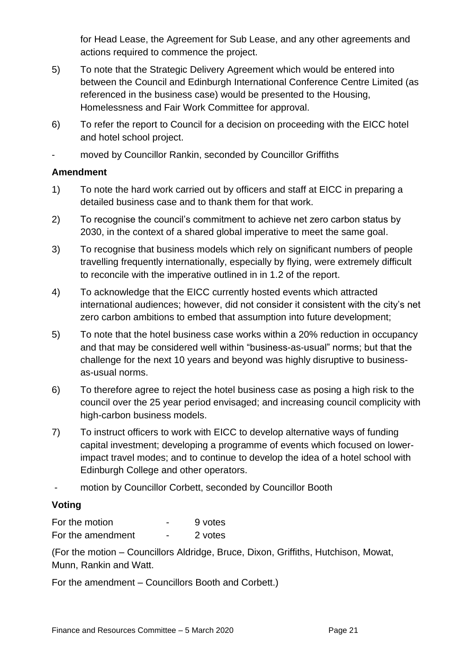for Head Lease, the Agreement for Sub Lease, and any other agreements and actions required to commence the project.

- 5) To note that the Strategic Delivery Agreement which would be entered into between the Council and Edinburgh International Conference Centre Limited (as referenced in the business case) would be presented to the Housing, Homelessness and Fair Work Committee for approval.
- 6) To refer the report to Council for a decision on proceeding with the EICC hotel and hotel school project.
- moved by Councillor Rankin, seconded by Councillor Griffiths

#### **Amendment**

- 1) To note the hard work carried out by officers and staff at EICC in preparing a detailed business case and to thank them for that work.
- 2) To recognise the council's commitment to achieve net zero carbon status by 2030, in the context of a shared global imperative to meet the same goal.
- 3) To recognise that business models which rely on significant numbers of people travelling frequently internationally, especially by flying, were extremely difficult to reconcile with the imperative outlined in in 1.2 of the report.
- 4) To acknowledge that the EICC currently hosted events which attracted international audiences; however, did not consider it consistent with the city's net zero carbon ambitions to embed that assumption into future development;
- 5) To note that the hotel business case works within a 20% reduction in occupancy and that may be considered well within "business-as-usual" norms; but that the challenge for the next 10 years and beyond was highly disruptive to businessas-usual norms.
- 6) To therefore agree to reject the hotel business case as posing a high risk to the council over the 25 year period envisaged; and increasing council complicity with high-carbon business models.
- 7) To instruct officers to work with EICC to develop alternative ways of funding capital investment; developing a programme of events which focused on lowerimpact travel modes; and to continue to develop the idea of a hotel school with Edinburgh College and other operators.
- motion by Councillor Corbett, seconded by Councillor Booth

### **Voting**

For the motion **For the motion** For the amendment - 2 votes

(For the motion – Councillors Aldridge, Bruce, Dixon, Griffiths, Hutchison, Mowat, Munn, Rankin and Watt.

For the amendment – Councillors Booth and Corbett.)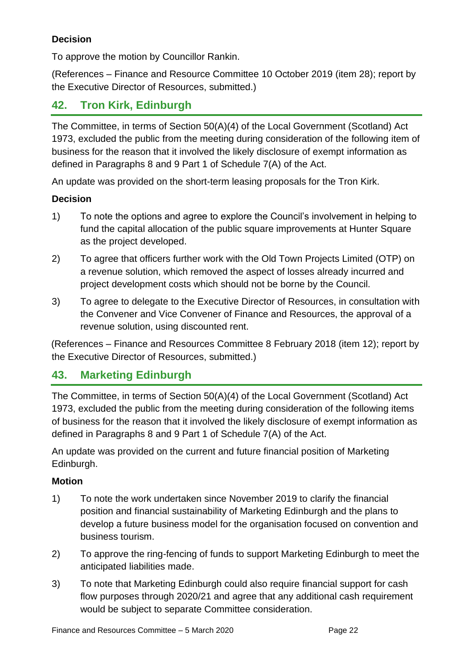## **Decision**

To approve the motion by Councillor Rankin.

(References – Finance and Resource Committee 10 October 2019 (item 28); report by the Executive Director of Resources, submitted.)

# **42. Tron Kirk, Edinburgh**

The Committee, in terms of Section 50(A)(4) of the Local Government (Scotland) Act 1973, excluded the public from the meeting during consideration of the following item of business for the reason that it involved the likely disclosure of exempt information as defined in Paragraphs 8 and 9 Part 1 of Schedule 7(A) of the Act.

An update was provided on the short-term leasing proposals for the Tron Kirk.

### **Decision**

- 1) To note the options and agree to explore the Council's involvement in helping to fund the capital allocation of the public square improvements at Hunter Square as the project developed.
- 2) To agree that officers further work with the Old Town Projects Limited (OTP) on a revenue solution, which removed the aspect of losses already incurred and project development costs which should not be borne by the Council.
- 3) To agree to delegate to the Executive Director of Resources, in consultation with the Convener and Vice Convener of Finance and Resources, the approval of a revenue solution, using discounted rent.

(References – Finance and Resources Committee 8 February 2018 (item 12); report by the Executive Director of Resources, submitted.)

# **43. Marketing Edinburgh**

The Committee, in terms of Section 50(A)(4) of the Local Government (Scotland) Act 1973, excluded the public from the meeting during consideration of the following items of business for the reason that it involved the likely disclosure of exempt information as defined in Paragraphs 8 and 9 Part 1 of Schedule 7(A) of the Act.

An update was provided on the current and future financial position of Marketing Edinburgh.

### **Motion**

- 1) To note the work undertaken since November 2019 to clarify the financial position and financial sustainability of Marketing Edinburgh and the plans to develop a future business model for the organisation focused on convention and business tourism.
- 2) To approve the ring-fencing of funds to support Marketing Edinburgh to meet the anticipated liabilities made.
- 3) To note that Marketing Edinburgh could also require financial support for cash flow purposes through 2020/21 and agree that any additional cash requirement would be subject to separate Committee consideration.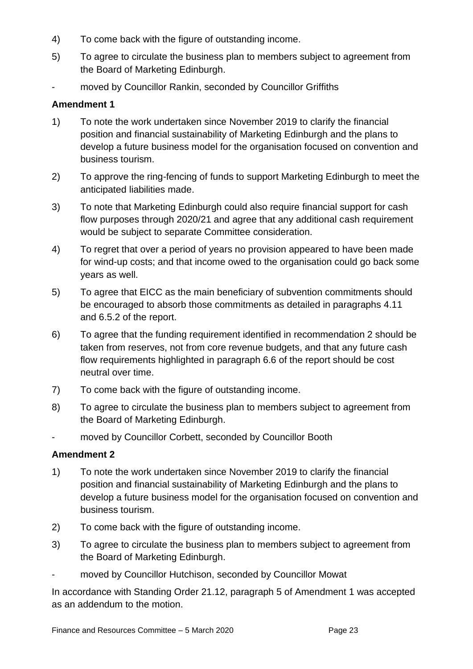- 4) To come back with the figure of outstanding income.
- 5) To agree to circulate the business plan to members subject to agreement from the Board of Marketing Edinburgh.
- moved by Councillor Rankin, seconded by Councillor Griffiths

### **Amendment 1**

- 1) To note the work undertaken since November 2019 to clarify the financial position and financial sustainability of Marketing Edinburgh and the plans to develop a future business model for the organisation focused on convention and business tourism.
- 2) To approve the ring-fencing of funds to support Marketing Edinburgh to meet the anticipated liabilities made.
- 3) To note that Marketing Edinburgh could also require financial support for cash flow purposes through 2020/21 and agree that any additional cash requirement would be subject to separate Committee consideration.
- 4) To regret that over a period of years no provision appeared to have been made for wind-up costs; and that income owed to the organisation could go back some years as well.
- 5) To agree that EICC as the main beneficiary of subvention commitments should be encouraged to absorb those commitments as detailed in paragraphs 4.11 and 6.5.2 of the report.
- 6) To agree that the funding requirement identified in recommendation 2 should be taken from reserves, not from core revenue budgets, and that any future cash flow requirements highlighted in paragraph 6.6 of the report should be cost neutral over time.
- 7) To come back with the figure of outstanding income.
- 8) To agree to circulate the business plan to members subject to agreement from the Board of Marketing Edinburgh.
- moved by Councillor Corbett, seconded by Councillor Booth

### **Amendment 2**

- 1) To note the work undertaken since November 2019 to clarify the financial position and financial sustainability of Marketing Edinburgh and the plans to develop a future business model for the organisation focused on convention and business tourism.
- 2) To come back with the figure of outstanding income.
- 3) To agree to circulate the business plan to members subject to agreement from the Board of Marketing Edinburgh.
- moved by Councillor Hutchison, seconded by Councillor Mowat

In accordance with Standing Order 21.12, paragraph 5 of Amendment 1 was accepted as an addendum to the motion.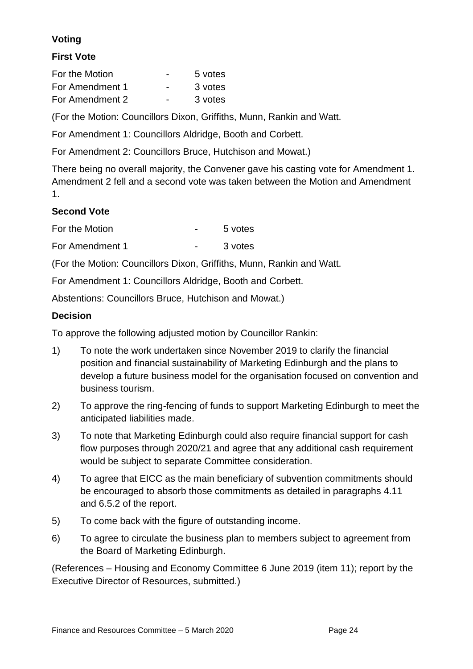# **Voting**

### **First Vote**

| For the Motion  | $\overline{\phantom{0}}$ | 5 votes |  |
|-----------------|--------------------------|---------|--|
| For Amendment 1 | $\overline{\phantom{0}}$ | 3 votes |  |
| For Amendment 2 | $\overline{\phantom{0}}$ | 3 votes |  |

(For the Motion: Councillors Dixon, Griffiths, Munn, Rankin and Watt.

For Amendment 1: Councillors Aldridge, Booth and Corbett.

For Amendment 2: Councillors Bruce, Hutchison and Mowat.)

There being no overall majority, the Convener gave his casting vote for Amendment 1. Amendment 2 fell and a second vote was taken between the Motion and Amendment 1.

### **Second Vote**

| For the Motion  | 5 votes |  |
|-----------------|---------|--|
| For Amendment 1 | 3 votes |  |

(For the Motion: Councillors Dixon, Griffiths, Munn, Rankin and Watt.

For Amendment 1: Councillors Aldridge, Booth and Corbett.

Abstentions: Councillors Bruce, Hutchison and Mowat.)

### **Decision**

To approve the following adjusted motion by Councillor Rankin:

- 1) To note the work undertaken since November 2019 to clarify the financial position and financial sustainability of Marketing Edinburgh and the plans to develop a future business model for the organisation focused on convention and business tourism.
- 2) To approve the ring-fencing of funds to support Marketing Edinburgh to meet the anticipated liabilities made.
- 3) To note that Marketing Edinburgh could also require financial support for cash flow purposes through 2020/21 and agree that any additional cash requirement would be subject to separate Committee consideration.
- 4) To agree that EICC as the main beneficiary of subvention commitments should be encouraged to absorb those commitments as detailed in paragraphs 4.11 and 6.5.2 of the report.
- 5) To come back with the figure of outstanding income.
- 6) To agree to circulate the business plan to members subject to agreement from the Board of Marketing Edinburgh.

(References – Housing and Economy Committee 6 June 2019 (item 11); report by the Executive Director of Resources, submitted.)